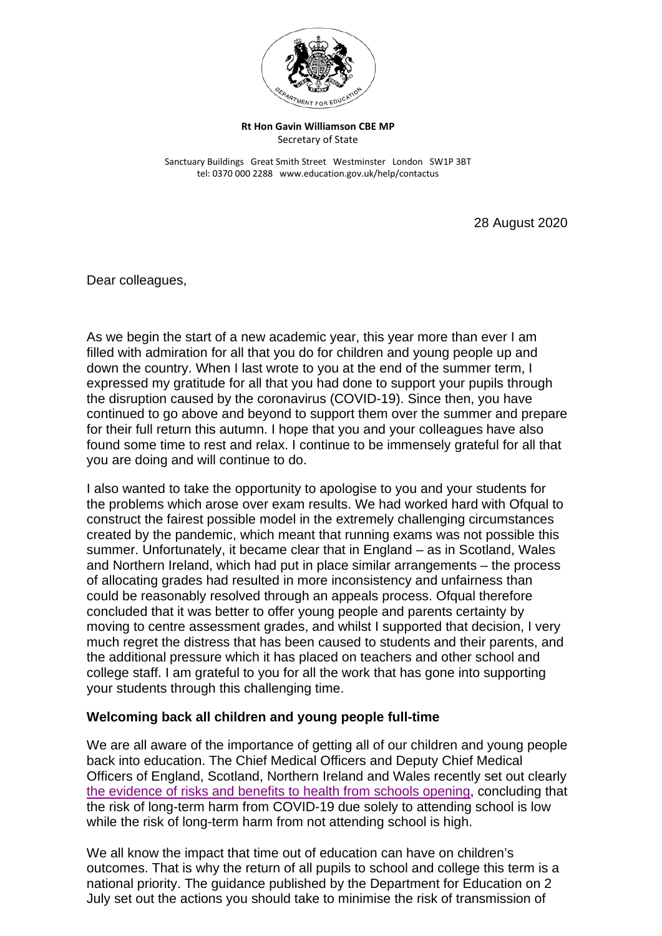

## **Rt Hon Gavin Williamson CBE MP** Secretary of State

Sanctuary Buildings Great Smith Street Westminster London SW1P 3BT tel: 0370 000 2288 www.education.gov.uk/help/contactus

28 August 2020

Dear colleagues,

As we begin the start of a new academic year, this year more than ever I am filled with admiration for all that you do for children and young people up and down the country. When I last wrote to you at the end of the summer term, I expressed my gratitude for all that you had done to support your pupils through the disruption caused by the coronavirus (COVID-19). Since then, you have continued to go above and beyond to support them over the summer and prepare for their full return this autumn. I hope that you and your colleagues have also found some time to rest and relax. I continue to be immensely grateful for all that you are doing and will continue to do.

I also wanted to take the opportunity to apologise to you and your students for the problems which arose over exam results. We had worked hard with Ofqual to construct the fairest possible model in the extremely challenging circumstances created by the pandemic, which meant that running exams was not possible this summer. Unfortunately, it became clear that in England – as in Scotland, Wales and Northern Ireland, which had put in place similar arrangements – the process of allocating grades had resulted in more inconsistency and unfairness than could be reasonably resolved through an appeals process. Ofqual therefore concluded that it was better to offer young people and parents certainty by moving to centre assessment grades, and whilst I supported that decision, I very much regret the distress that has been caused to students and their parents, and the additional pressure which it has placed on teachers and other school and college staff. I am grateful to you for all the work that has gone into supporting your students through this challenging time.

## **Welcoming back all children and young people full-time**

We are all aware of the importance of getting all of our children and young people back into education. The Chief Medical Officers and Deputy Chief Medical Officers of England, Scotland, Northern Ireland and Wales recently set out clearly [the evidence of risks and benefits to health from schools opening,](https://www.gov.uk/government/news/statement-from-the-uk-chief-medical-officers-on-schools-and-childcare-reopening) concluding that the risk of long-term harm from COVID-19 due solely to attending school is low while the risk of long-term harm from not attending school is high.

We all know the impact that time out of education can have on children's outcomes. That is why the return of all pupils to school and college this term is a national priority. The guidance published by the Department for Education on 2 July set out the actions you should take to minimise the risk of transmission of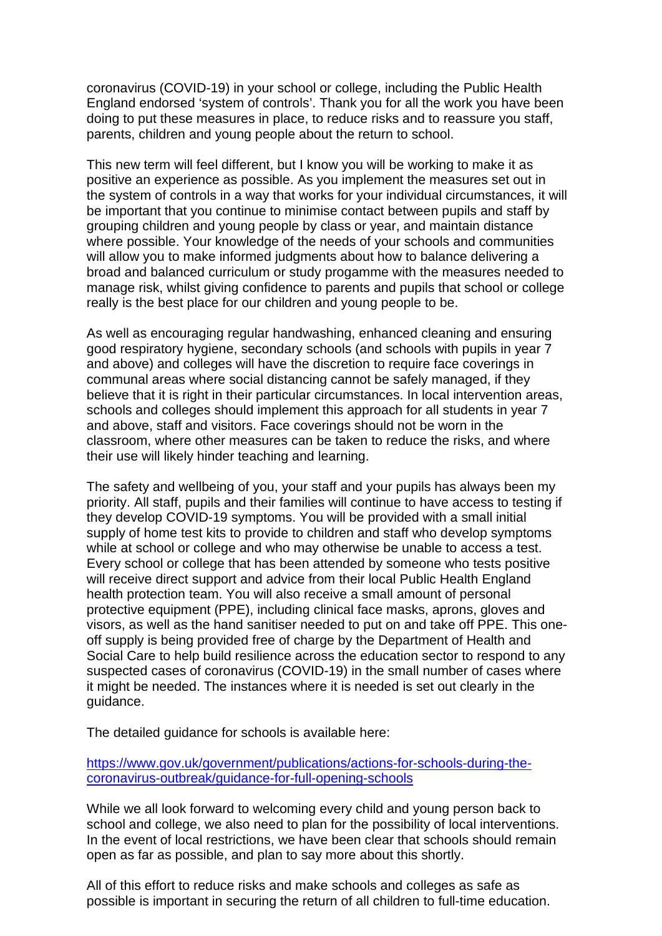coronavirus (COVID-19) in your school or college, including the Public Health England endorsed 'system of controls'. Thank you for all the work you have been doing to put these measures in place, to reduce risks and to reassure you staff, parents, children and young people about the return to school.

This new term will feel different, but I know you will be working to make it as positive an experience as possible. As you implement the measures set out in the system of controls in a way that works for your individual circumstances, it will be important that you continue to minimise contact between pupils and staff by grouping children and young people by class or year, and maintain distance where possible. Your knowledge of the needs of your schools and communities will allow you to make informed judgments about how to balance delivering a broad and balanced curriculum or study progamme with the measures needed to manage risk, whilst giving confidence to parents and pupils that school or college really is the best place for our children and young people to be.

As well as encouraging regular handwashing, enhanced cleaning and ensuring good respiratory hygiene, secondary schools (and schools with pupils in year 7 and above) and colleges will have the discretion to require face coverings in communal areas where social distancing cannot be safely managed, if they believe that it is right in their particular circumstances. In local intervention areas, schools and colleges should implement this approach for all students in year 7 and above, staff and visitors. Face coverings should not be worn in the classroom, where other measures can be taken to reduce the risks, and where their use will likely hinder teaching and learning.

The safety and wellbeing of you, your staff and your pupils has always been my priority. All staff, pupils and their families will continue to have access to testing if they develop COVID-19 symptoms. You will be provided with a small initial supply of home test kits to provide to children and staff who develop symptoms while at school or college and who may otherwise be unable to access a test. Every school or college that has been attended by someone who tests positive will receive direct support and advice from their local Public Health England health protection team. You will also receive a small amount of personal protective equipment (PPE), including clinical face masks, aprons, gloves and visors, as well as the hand sanitiser needed to put on and take off PPE. This oneoff supply is being provided free of charge by the Department of Health and Social Care to help build resilience across the education sector to respond to any suspected cases of coronavirus (COVID-19) in the small number of cases where it might be needed. The instances where it is needed is set out clearly in the quidance.

The detailed guidance for schools is available here:

[https://www.gov.uk/government/publications/actions-for-schools-during-the](https://www.gov.uk/government/publications/actions-for-schools-during-the-coronavirus-outbreak/guidance-for-full-opening-schools)[coronavirus-outbreak/guidance-for-full-opening-schools](https://www.gov.uk/government/publications/actions-for-schools-during-the-coronavirus-outbreak/guidance-for-full-opening-schools)

While we all look forward to welcoming every child and young person back to school and college, we also need to plan for the possibility of local interventions. In the event of local restrictions, we have been clear that schools should remain open as far as possible, and plan to say more about this shortly.

All of this effort to reduce risks and make schools and colleges as safe as possible is important in securing the return of all children to full-time education.